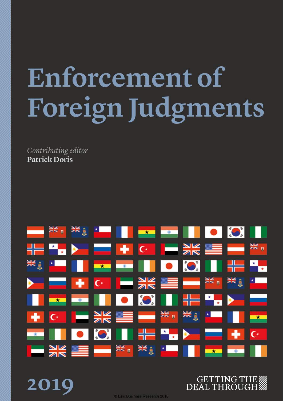# **Enforcement of Foreign Judgments**

*Contributing editor* **Patrick Doris**

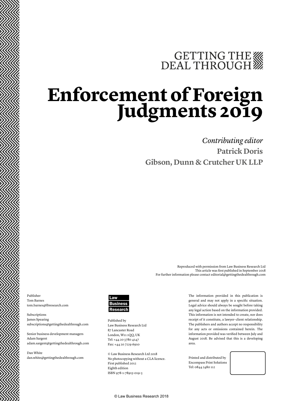# GETTING THE

# **Enforcement of Foreign Judgments 2019**

## *Contributing editor* **Patrick Doris Gibson, Dunn & Crutcher UK LLP**

Publisher Tom Barnes tom.barnes@lbresearch.com

Subscriptions James Spearing subscriptions@gettingthedealthrough.com

Senior business development managers Adam Sargent adam.sargent@gettingthedealthrough.com

Dan White dan.white@gettingthedealthrough.com



Published by Law Business Research Ltd 87 Lancaster Road London, W11 1QQ, UK Tel: +44 20 3780 4147 Fax: +44 20 7229 6910

© Law Business Research Ltd 2018 No photocopying without a CLA licence. First published 2012 Eighth edition ISBN 978-1-78915-019-3

The information provided in this publication is general and may not apply in a specific situation. Legal advice should always be sought before taking any legal action based on the information provided. This information is not intended to create, nor does receipt of it constitute, a lawyer–client relationship. The publishers and authors accept no responsibility for any acts or omissions contained herein. The information provided was verified between July and August 2018. Be advised that this is a developing area.

Reproduced with permission from Law Business Research Ltd

For further information please contact editorial@gettingthedealthrough.com

This article was first published in September 2018

Printed and distributed by Encompass Print Solutions Tel: 0844 2480 112



© Law Business Research 2018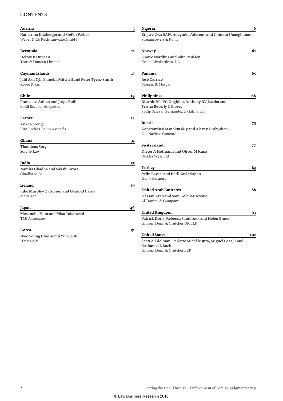#### **CONTENTS**

| Austria                                                                | 5  | Nigeria                                                                                                               | 56  |
|------------------------------------------------------------------------|----|-----------------------------------------------------------------------------------------------------------------------|-----|
| Katharina Kitzberger and Stefan Weber<br>Weber & Co Rechtsanwälte GmbH |    | Etigwe Uwa SAN, Adeyinka Aderemi and Chinasa Unaegbunam<br>Streamsowers & Köhn                                        |     |
| Bermuda                                                                | 11 | <b>Norway</b>                                                                                                         | 61  |
| Delroy B Duncan<br>Trott & Duncan Limited                              |    | Snorre Nordhus and John Paulsen<br>Kvale Advokatfirma DA                                                              |     |
| Cayman Islands                                                         | 15 | Panama                                                                                                                | 65  |
| Jalil Asif QC, Pamella Mitchell and Peter Tyers-Smith<br>Kobre & Kim   |    | <b>Jose Carrizo</b><br>Morgan & Morgan                                                                                |     |
| Chile                                                                  | 19 | Philippines                                                                                                           | 68  |
| <b>Francisco Aninat and Jorge Bofill</b><br>Bofill Escobar Abogados    |    | Ricardo Ma PG Ongkiko, Anthony RV Jacoba and<br><b>Trisha Beverly C Flores</b><br>SyCip Salazar Hernandez & Gatmaitan |     |
| France                                                                 | 24 |                                                                                                                       |     |
| <b>Anke Sprengel</b><br>EBA Endrös-Baum Associés                       |    | Russia<br>Konstantin Krasnokutskiy and Alexey Drobyshev<br>Lex Navicus Concordia                                      | 73  |
| Ghana                                                                  | 31 |                                                                                                                       |     |
| <b>Thaddeus Sory</b><br>Sory @ Law                                     |    | Switzerland<br>Dieter A Hofmann and Oliver M Kunz<br>Walder Wyss Ltd                                                  | 77  |
| India                                                                  | 35 |                                                                                                                       |     |
| Namita Chadha and Sakshi Arora<br>Chadha & Co                          |    | Turkey<br>Pelin Baysal and Beril Yayla Sapan<br>Gün + Partners                                                        | 83  |
| <b>Ireland</b>                                                         | 39 |                                                                                                                       |     |
| Julie Murphy-O'Connor and Gearoid Carey<br>Matheson                    |    | <b>United Arab Emirates</b><br>Hassan Arab and Sara Koleilat-Aranjo<br>Al Tamimi & Company                            | 88  |
| Japan                                                                  | 46 |                                                                                                                       |     |
| Masanobu Hara and Misa Takahashi<br><b>TMI</b> Associates              |    | <b>United Kingdom</b><br>Patrick Doris, Rebecca Sambrook and Helen Elmer<br>Gibson, Dunn & Crutcher UK LLP            | 93  |
| Korea                                                                  | 51 |                                                                                                                       |     |
| Woo Young Choi and Ji Yun Seok<br><b>HMP LAW</b>                       |    | <b>United States</b><br>Scott A Edelman, Perlette Michèle Jura, Miguel Loza Jr and<br><b>Nathaniel L Bach</b>         | 102 |

Gibson, Dunn & Crutcher LLP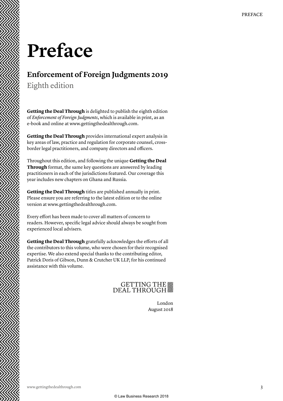## **Preface**

## **Enforcement of Foreign Judgments 2019**

Eighth edition

**Getting the Deal Through** is delighted to publish the eighth edition of *Enforcement of Foreign Judgments*, which is available in print, as an e-book and online at www.gettingthedealthrough.com.

**Getting the Deal Through** provides international expert analysis in key areas of law, practice and regulation for corporate counsel, crossborder legal practitioners, and company directors and officers.

Throughout this edition, and following the unique **Getting the Deal Through** format, the same key questions are answered by leading practitioners in each of the jurisdictions featured. Our coverage this year includes new chapters on Ghana and Russia.

**Getting the Deal Through** titles are published annually in print. Please ensure you are referring to the latest edition or to the online version at www.gettingthedealthrough.com.

Every effort has been made to cover all matters of concern to readers. However, specific legal advice should always be sought from experienced local advisers.

**Getting the Deal Through** gratefully acknowledges the efforts of all the contributors to this volume, who were chosen for their recognised expertise. We also extend special thanks to the contributing editor, Patrick Doris of Gibson, Dunn & Crutcher UK LLP, for his continued assistance with this volume.

## GETTING THE

London August 2018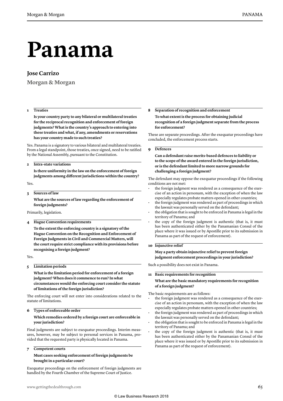# **Panama**

#### **Jose Carrizo**

**Morgan & Morgan**

#### **1 Treaties**

**Is your country party to any bilateral or multilateral treaties for the reciprocal recognition and enforcement of foreign judgments? What is the country's approach to entering into these treaties and what, if any, amendments or reservations has your country made to such treaties?**

Yes. Panama is a signatory to various bilateral and multilateral treaties. From a legal standpoint, those treaties, once signed, need to be ratified by the National Assembly, pursuant to the Constitution.

#### **2 Intra-state variations**

**Is there uniformity in the law on the enforcement of foreign judgments among different jurisdictions within the country?**

Yes.

#### **3 Sources of law**

**What are the sources of law regarding the enforcement of foreign judgments?**

Primarily, legislation.

**4 Hague Convention requirements**

**To the extent the enforcing country is a signatory of the Hague Convention on the Recognition and Enforcement of Foreign Judgments in Civil and Commercial Matters, will the court require strict compliance with its provisions before recognising a foreign judgment?**

Yes.

**5 Limitation periods**

**What is the limitation period for enforcement of a foreign judgment? When does it commence to run? In what circumstances would the enforcing court consider the statute of limitations of the foreign jurisdiction?**

The enforcing court will not enter into considerations related to the statute of limitations.

#### **6 Types of enforceable order**

#### **Which remedies ordered by a foreign court are enforceable in your jurisdiction?**

Final judgments are subject to exequatur proceedings. Interim measures, however, may be subject to personal services in Panama, provided that the requested party is physically located in Panama.

#### **7 Competent courts**

#### **Must cases seeking enforcement of foreign judgments be brought in a particular court?**

Exequatur proceedings on the enforcement of foreign judgments are handled by the Fourth Chamber of the Supreme Court of Justice.

#### **8 Separation of recognition and enforcement**

**To what extent is the process for obtaining judicial recognition of a foreign judgment separate from the process for enforcement?**

These are separate proceedings. After the exequatur proceedings have concluded, the enforcement process starts.

#### **9 Defences**

**Can a defendant raise merits-based defences to liability or to the scope of the award entered in the foreign jurisdiction, or is the defendant limited to more narrow grounds for challenging a foreign judgment?**

The defendant may oppose the exequatur proceedings if the following conditions are not met:

- the foreign judgment was rendered as a consequence of the exercise of an action in personam, with the exception of when the law especially regulates probate matters opened in other countries;
- the foreign judgment was rendered as part of proceedings in which the lawsuit was personally served on the defendant;
- the obligation that is sought to be enforced in Panama is legal in the territory of Panama; and
- the copy of the foreign judgment is authentic (that is, it must has been authenticated either by the Panamanian Consul of the place where it was issued or by Apostille prior to its submission in Panama as part of the request of enforcement).

#### **10 Injunctive relief**

**May a party obtain injunctive relief to prevent foreign judgment enforcement proceedings in your jurisdiction?**

Such a possibility does not exist in Panama.

**11 Basic requirements for recognition**

**What are the basic mandatory requirements for recognition of a foreign judgment?**

The basic requirements are as follows:

- the foreign judgment was rendered as a consequence of the exercise of an action in personam, with the exception of when the law especially regulates probate matters opened in other countries;
- the foreign judgment was rendered as part of proceedings in which the lawsuit was personally served on the defendant;
- the obligation that is sought to be enforced in Panama is legal in the territory of Panama; and
- the copy of the foreign judgment is authentic (that is, it must has been authenticated either by the Panamanian Consul of the place where it was issued or by Apostille prior to its submission in Panama as part of the request of enforcement).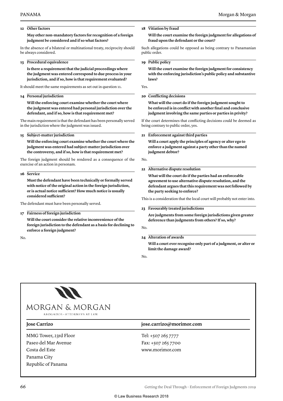#### **12 Other factors**

**May other non-mandatory factors for recognition of a foreign judgment be considered and if so what factors?**

In the absence of a bilateral or multinational treaty, reciprocity should be always considered.

#### **13 Procedural equivalence**

**Is there a requirement that the judicial proceedings where the judgment was entered correspond to due process in your jurisdiction, and if so, how is that requirement evaluated?**

It should meet the same requirements as set out in question 11.

#### **14 Personal jurisdiction**

**Will the enforcing court examine whether the court where the judgment was entered had personal jurisdiction over the defendant, and if so, how is that requirement met?**

The main requirement is that the defendant has been personally served in the jurisdiction where the judgment was issued.

#### **15 Subject-matter jurisdiction**

**Will the enforcing court examine whether the court where the judgment was entered had subject-matter jurisdiction over the controversy, and if so, how is that requirement met?**

The foreign judgment should be rendered as a consequence of the exercise of an action in personam.

**16 Service**

**Must the defendant have been technically or formally served with notice of the original action in the foreign jurisdiction, or is actual notice sufficient? How much notice is usually considered sufficient?**

The defendant must have been personally served.

#### **17 Fairness of foreign jurisdiction**

**Will the court consider the relative inconvenience of the foreign jurisdiction to the defendant as a basis for declining to enforce a foreign judgment?**

No.

### **18 Vitiation by fraud**

**Will the court examine the foreign judgment for allegations of fraud upon the defendant or the court?**

Such allegations could be opposed as being contrary to Panamanian public order.

#### **19 Public policy**

**Will the court examine the foreign judgment for consistency with the enforcing jurisdiction's public policy and substantive laws?**

Yes.

#### **20 Conflicting decisions**

**What will the court do if the foreign judgment sought to be enforced is in conflict with another final and conclusive judgment involving the same parties or parties in privity?**

If the court determines that conflicting decisions could be deemed as being contrary to public order, yes.

#### **21 Enforcement against third parties**

**Will a court apply the principles of agency or alter ego to enforce a judgment against a party other than the named judgment debtor?**

No.

#### **22 Alternative dispute resolution**

- **What will the court do if the parties had an enforceable agreement to use alternative dispute resolution, and the defendant argues that this requirement was not followed by the party seeking to enforce?**
- This is a consideration that the local court will probably not enter into.
- **23 Favourably treated jurisdictions**

**Are judgments from some foreign jurisdictions given greater deference than judgments from others? If so, why?**

#### No.

**24 Alteration of awards**

**Will a court ever recognise only part of a judgment, or alter or limit the damage award?**

No.



MMG Tower, 23rd Floor Paseo del Mar Avenue Costa del Este Panama City Republic of Panama

#### **Jose Carrizo jose.carrizo@morimor.com**

Tel: +507 265 7777 Fax: +507 265 7700 www.morimor.com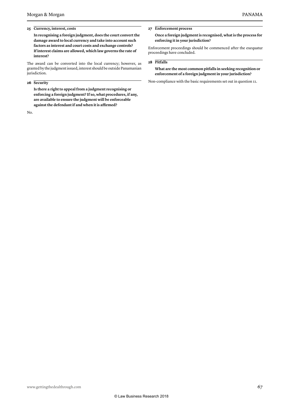#### **25 Currency, interest, costs**

**In recognising a foreign judgment, does the court convert the damage award to local currency and take into account such factors as interest and court costs and exchange controls? If interest claims are allowed, which law governs the rate of interest?**

The award can be converted into the local currency; however, as granted by the judgment issued, interest should be outside Panamanian jurisdiction.

#### **26 Security**

**Is there a right to appeal from a judgment recognising or enforcing a foreign judgment? If so, what procedures, if any, are available to ensure the judgment will be enforceable against the defendant if and when it is affirmed?**

No.

**27 Enforcement process**

**Once a foreign judgment is recognised, what is the process for enforcing it in your jurisdiction?**

Enforcement proceedings should be commenced after the exequatur proceedings have concluded.

#### **28 Pitfalls**

**What are the most common pitfalls in seeking recognition or enforcement of a foreign judgment in your jurisdiction?**

Non-compliance with the basic requirements set out in question 11.